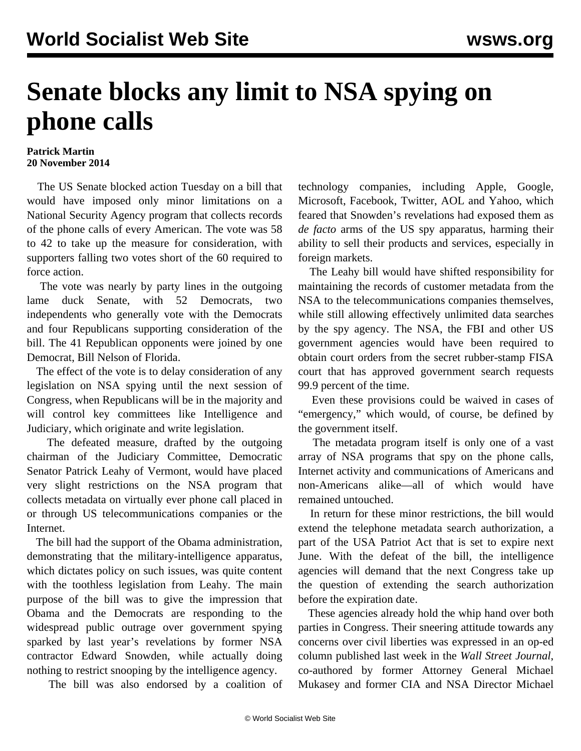## **Senate blocks any limit to NSA spying on phone calls**

## **Patrick Martin 20 November 2014**

 The US Senate blocked action Tuesday on a bill that would have imposed only minor limitations on a National Security Agency program that collects records of the phone calls of every American. The vote was 58 to 42 to take up the measure for consideration, with supporters falling two votes short of the 60 required to force action.

 The vote was nearly by party lines in the outgoing lame duck Senate, with 52 Democrats, two independents who generally vote with the Democrats and four Republicans supporting consideration of the bill. The 41 Republican opponents were joined by one Democrat, Bill Nelson of Florida.

 The effect of the vote is to delay consideration of any legislation on NSA spying until the next session of Congress, when Republicans will be in the majority and will control key committees like Intelligence and Judiciary, which originate and write legislation.

 The defeated measure, drafted by the outgoing chairman of the Judiciary Committee, Democratic Senator Patrick Leahy of Vermont, would have placed very slight restrictions on the NSA program that collects metadata on virtually ever phone call placed in or through US telecommunications companies or the Internet.

 The bill had the support of the Obama administration, demonstrating that the military-intelligence apparatus, which dictates policy on such issues, was quite content with the toothless legislation from Leahy. The main purpose of the bill was to give the impression that Obama and the Democrats are responding to the widespread public outrage over government spying sparked by last year's revelations by former NSA contractor Edward Snowden, while actually doing nothing to restrict snooping by the intelligence agency.

The bill was also endorsed by a coalition of

technology companies, including Apple, Google, Microsoft, Facebook, Twitter, AOL and Yahoo, which feared that Snowden's revelations had exposed them as *de facto* arms of the US spy apparatus, harming their ability to sell their products and services, especially in foreign markets.

 The Leahy bill would have shifted responsibility for maintaining the records of customer metadata from the NSA to the telecommunications companies themselves, while still allowing effectively unlimited data searches by the spy agency. The NSA, the FBI and other US government agencies would have been required to obtain court orders from the secret rubber-stamp FISA court that has approved government search requests 99.9 percent of the time.

 Even these provisions could be waived in cases of "emergency," which would, of course, be defined by the government itself.

 The metadata program itself is only one of a vast array of NSA programs that spy on the phone calls, Internet activity and communications of Americans and non-Americans alike—all of which would have remained untouched.

 In return for these minor restrictions, the bill would extend the telephone metadata search authorization, a part of the USA Patriot Act that is set to expire next June. With the defeat of the bill, the intelligence agencies will demand that the next Congress take up the question of extending the search authorization before the expiration date.

 These agencies already hold the whip hand over both parties in Congress. Their sneering attitude towards any concerns over civil liberties was expressed in an op-ed column published last week in the *Wall Street Journal*, co-authored by former Attorney General Michael Mukasey and former CIA and NSA Director Michael